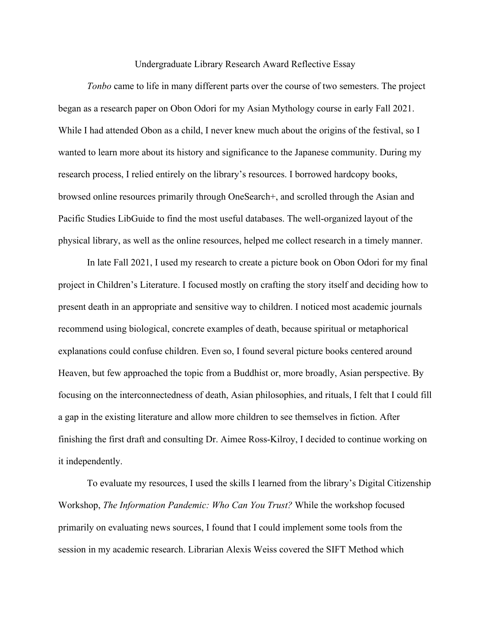Undergraduate Library Research Award Reflective Essay

*Tonbo* came to life in many different parts over the course of two semesters. The project began as a research paper on Obon Odori for my Asian Mythology course in early Fall 2021. While I had attended Obon as a child, I never knew much about the origins of the festival, so I wanted to learn more about its history and significance to the Japanese community. During my research process, I relied entirely on the library's resources. I borrowed hardcopy books, browsed online resources primarily through OneSearch+, and scrolled through the Asian and Pacific Studies LibGuide to find the most useful databases. The well-organized layout of the physical library, as well as the online resources, helped me collect research in a timely manner.

In late Fall 2021, I used my research to create a picture book on Obon Odori for my final project in Children's Literature. I focused mostly on crafting the story itself and deciding how to present death in an appropriate and sensitive way to children. I noticed most academic journals recommend using biological, concrete examples of death, because spiritual or metaphorical explanations could confuse children. Even so, I found several picture books centered around Heaven, but few approached the topic from a Buddhist or, more broadly, Asian perspective. By focusing on the interconnectedness of death, Asian philosophies, and rituals, I felt that I could fill a gap in the existing literature and allow more children to see themselves in fiction. After finishing the first draft and consulting Dr. Aimee Ross-Kilroy, I decided to continue working on it independently.

To evaluate my resources, I used the skills I learned from the library's Digital Citizenship Workshop, *The Information Pandemic: Who Can You Trust?* While the workshop focused primarily on evaluating news sources, I found that I could implement some tools from the session in my academic research. Librarian Alexis Weiss covered the SIFT Method which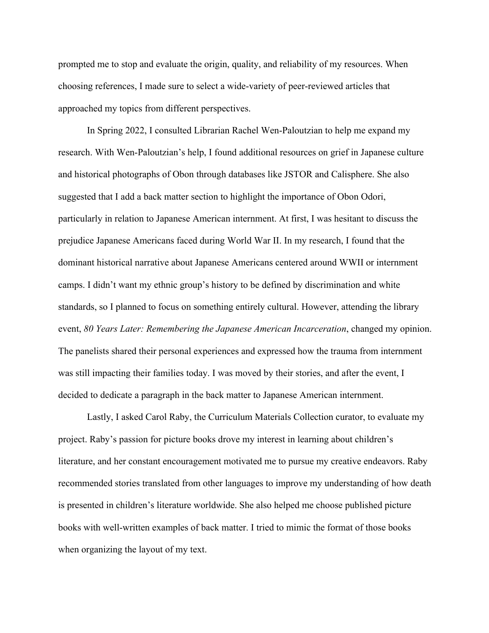prompted me to stop and evaluate the origin, quality, and reliability of my resources. When choosing references, I made sure to select a wide-variety of peer-reviewed articles that approached my topics from different perspectives.

In Spring 2022, I consulted Librarian Rachel Wen-Paloutzian to help me expand my research. With Wen-Paloutzian's help, I found additional resources on grief in Japanese culture and historical photographs of Obon through databases like JSTOR and Calisphere. She also suggested that I add a back matter section to highlight the importance of Obon Odori, particularly in relation to Japanese American internment. At first, I was hesitant to discuss the prejudice Japanese Americans faced during World War II. In my research, I found that the dominant historical narrative about Japanese Americans centered around WWII or internment camps. I didn't want my ethnic group's history to be defined by discrimination and white standards, so I planned to focus on something entirely cultural. However, attending the library event, *80 Years Later: Remembering the Japanese American Incarceration*, changed my opinion. The panelists shared their personal experiences and expressed how the trauma from internment was still impacting their families today. I was moved by their stories, and after the event, I decided to dedicate a paragraph in the back matter to Japanese American internment.

Lastly, I asked Carol Raby, the Curriculum Materials Collection curator, to evaluate my project. Raby's passion for picture books drove my interest in learning about children's literature, and her constant encouragement motivated me to pursue my creative endeavors. Raby recommended stories translated from other languages to improve my understanding of how death is presented in children's literature worldwide. She also helped me choose published picture books with well-written examples of back matter. I tried to mimic the format of those books when organizing the layout of my text.